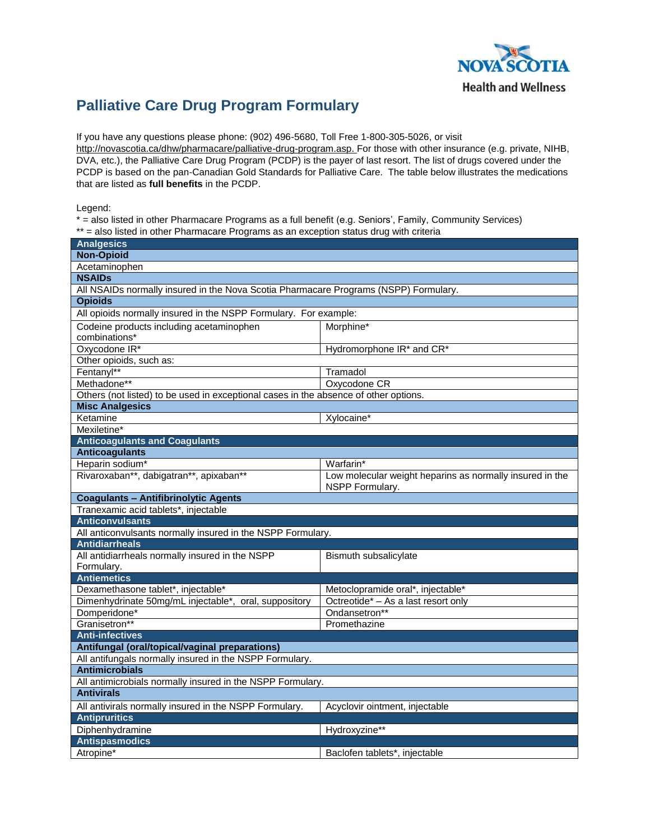

## **Palliative Care Drug Program Formulary**

If you have any questions please phone: (902) 496-5680, Toll Free 1-800-305-5026, or visit

[http://novascotia.ca/dhw/pharmacare/palliative-drug-program.asp.](http://novascotia.ca/dhw/pharmacare/palliative-drug-program.asp) For those with other insurance (e.g. private, NIHB, DVA, etc.), the Palliative Care Drug Program (PCDP) is the payer of last resort. The list of drugs covered under the PCDP is based on the pan-Canadian Gold Standards for Palliative Care. The table below illustrates the medications that are listed as **full benefits** in the PCDP.

Legend:

\* = also listed in other Pharmacare Programs as a full benefit (e.g. Seniors', Family, Community Services) \*\* = also listed in other Pharmacare Programs as an exception status drug with criteria

| <b>Analgesics</b>                                                                    |                                                                             |  |
|--------------------------------------------------------------------------------------|-----------------------------------------------------------------------------|--|
| <b>Non-Opioid</b>                                                                    |                                                                             |  |
| Acetaminophen                                                                        |                                                                             |  |
| <b>NSAIDs</b>                                                                        |                                                                             |  |
| All NSAIDs normally insured in the Nova Scotia Pharmacare Programs (NSPP) Formulary. |                                                                             |  |
| <b>Opioids</b>                                                                       |                                                                             |  |
| All opioids normally insured in the NSPP Formulary. For example:                     |                                                                             |  |
| Codeine products including acetaminophen                                             | Morphine*                                                                   |  |
| combinations*                                                                        |                                                                             |  |
| Oxycodone IR*                                                                        | Hydromorphone IR* and CR*                                                   |  |
| Other opioids, such as:                                                              |                                                                             |  |
| Fentanyl**                                                                           | Tramadol                                                                    |  |
| Methadone**                                                                          | Oxycodone CR                                                                |  |
| Others (not listed) to be used in exceptional cases in the absence of other options. |                                                                             |  |
| <b>Misc Analgesics</b>                                                               |                                                                             |  |
| Ketamine                                                                             | Xylocaine*                                                                  |  |
| Mexiletine*                                                                          |                                                                             |  |
| <b>Anticoagulants and Coagulants</b>                                                 |                                                                             |  |
| <b>Anticoagulants</b>                                                                |                                                                             |  |
| Heparin sodium*                                                                      | Warfarin*                                                                   |  |
| Rivaroxaban**, dabigatran**, apixaban**                                              | Low molecular weight heparins as normally insured in the<br>NSPP Formulary. |  |
| <b>Coagulants - Antifibrinolytic Agents</b>                                          |                                                                             |  |
| Tranexamic acid tablets*, injectable                                                 |                                                                             |  |
| <b>Anticonvulsants</b>                                                               |                                                                             |  |
| All anticonvulsants normally insured in the NSPP Formulary.                          |                                                                             |  |
| <b>Antidiarrheals</b>                                                                |                                                                             |  |
| All antidiarrheals normally insured in the NSPP                                      | Bismuth subsalicylate                                                       |  |
| Formulary.                                                                           |                                                                             |  |
| <b>Antiemetics</b>                                                                   |                                                                             |  |
| Dexamethasone tablet*, injectable*                                                   | Metoclopramide oral*, injectable*                                           |  |
| Dimenhydrinate 50mg/mL injectable*, oral, suppository                                | Octreotide* - As a last resort only                                         |  |
| Domperidone*                                                                         | Ondansetron**                                                               |  |
| Granisetron**                                                                        | Promethazine                                                                |  |
| <b>Anti-infectives</b>                                                               |                                                                             |  |
| Antifungal (oral/topical/vaginal preparations)                                       |                                                                             |  |
| All antifungals normally insured in the NSPP Formulary.                              |                                                                             |  |
| <b>Antimicrobials</b>                                                                |                                                                             |  |
| All antimicrobials normally insured in the NSPP Formulary.                           |                                                                             |  |
| <b>Antivirals</b>                                                                    |                                                                             |  |
| All antivirals normally insured in the NSPP Formulary.                               | Acyclovir ointment, injectable                                              |  |
| <b>Antipruritics</b>                                                                 |                                                                             |  |
| Diphenhydramine                                                                      | Hydroxyzine**                                                               |  |
| <b>Antispasmodics</b>                                                                |                                                                             |  |
| Atropine <sup>*</sup>                                                                | Baclofen tablets*, injectable                                               |  |